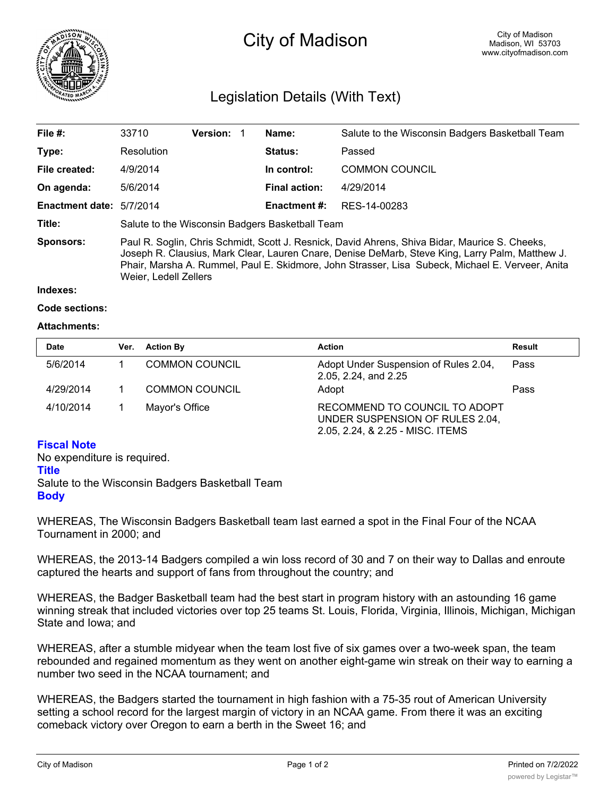

# City of Madison

# Legislation Details (With Text)

| File $#$ :               | 33710                                                                                                                                                                                                                                                                                                                          | <b>Version: 1</b> |             | Name:                 | Salute to the Wisconsin Badgers Basketball Team |  |
|--------------------------|--------------------------------------------------------------------------------------------------------------------------------------------------------------------------------------------------------------------------------------------------------------------------------------------------------------------------------|-------------------|-------------|-----------------------|-------------------------------------------------|--|
| Type:                    | Resolution                                                                                                                                                                                                                                                                                                                     |                   |             | <b>Status:</b>        | Passed                                          |  |
| File created:            | 4/9/2014                                                                                                                                                                                                                                                                                                                       |                   | In control: | <b>COMMON COUNCIL</b> |                                                 |  |
| On agenda:               | 5/6/2014                                                                                                                                                                                                                                                                                                                       |                   |             | <b>Final action:</b>  | 4/29/2014                                       |  |
| Enactment date: 5/7/2014 |                                                                                                                                                                                                                                                                                                                                |                   |             | <b>Enactment #:</b>   | RES-14-00283                                    |  |
| Title:                   | Salute to the Wisconsin Badgers Basketball Team                                                                                                                                                                                                                                                                                |                   |             |                       |                                                 |  |
| Sponsors:                | Paul R. Soglin, Chris Schmidt, Scott J. Resnick, David Ahrens, Shiva Bidar, Maurice S. Cheeks,<br>Joseph R. Clausius, Mark Clear, Lauren Cnare, Denise DeMarb, Steve King, Larry Palm, Matthew J.<br>Phair, Marsha A. Rummel, Paul E. Skidmore, John Strasser, Lisa Subeck, Michael E. Verveer, Anita<br>Weier, Ledell Zellers |                   |             |                       |                                                 |  |

#### **Indexes:**

#### **Code sections:**

### **Attachments:**

| <b>Date</b> | Ver. | <b>Action By</b>      | <b>Action</b>                                                                                        | Result |
|-------------|------|-----------------------|------------------------------------------------------------------------------------------------------|--------|
| 5/6/2014    |      | <b>COMMON COUNCIL</b> | Adopt Under Suspension of Rules 2.04,<br>2.05, 2.24, and 2.25                                        | Pass   |
| 4/29/2014   |      | <b>COMMON COUNCIL</b> | Adopt                                                                                                | Pass   |
| 4/10/2014   |      | Mayor's Office        | RECOMMEND TO COUNCIL TO ADOPT<br>UNDER SUSPENSION OF RULES 2.04,<br>2.05, 2.24, & 2.25 - MISC. ITEMS |        |

# **Fiscal Note**

No expenditure is required. **Title** Salute to the Wisconsin Badgers Basketball Team **Body**

WHEREAS, The Wisconsin Badgers Basketball team last earned a spot in the Final Four of the NCAA Tournament in 2000; and

WHEREAS, the 2013-14 Badgers compiled a win loss record of 30 and 7 on their way to Dallas and enroute captured the hearts and support of fans from throughout the country; and

WHEREAS, the Badger Basketball team had the best start in program history with an astounding 16 game winning streak that included victories over top 25 teams St. Louis, Florida, Virginia, Illinois, Michigan, Michigan State and Iowa; and

WHEREAS, after a stumble midyear when the team lost five of six games over a two-week span, the team rebounded and regained momentum as they went on another eight-game win streak on their way to earning a number two seed in the NCAA tournament; and

WHEREAS, the Badgers started the tournament in high fashion with a 75-35 rout of American University setting a school record for the largest margin of victory in an NCAA game. From there it was an exciting comeback victory over Oregon to earn a berth in the Sweet 16; and